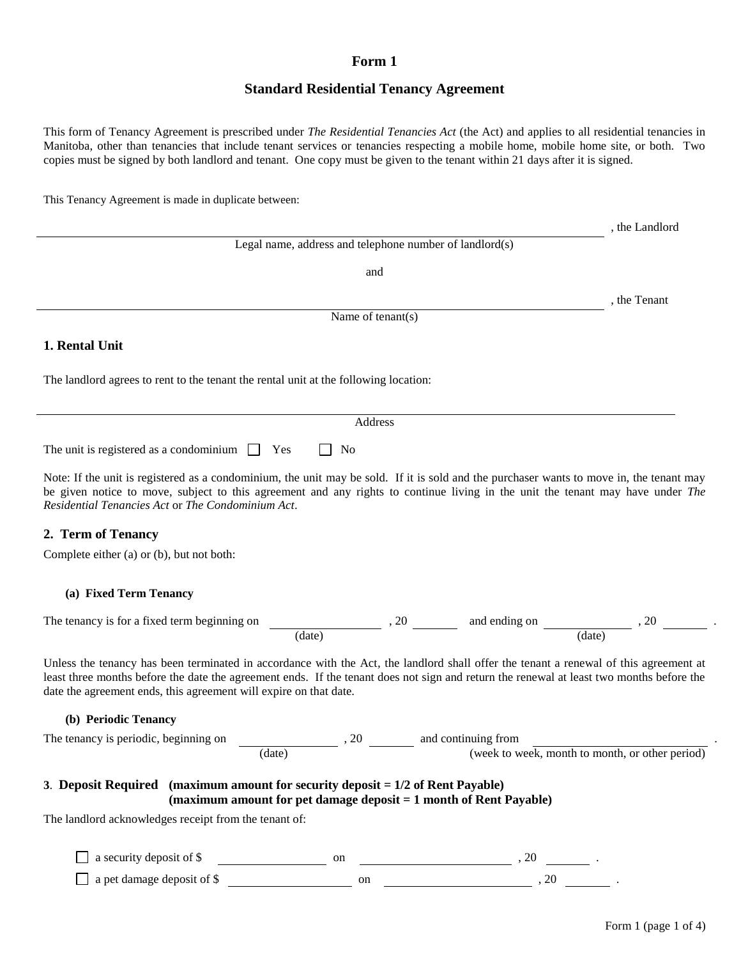## **Form 1**

# **Standard Residential Tenancy Agreement**

This form of Tenancy Agreement is prescribed under *The Residential Tenancies Act* (the Act) and applies to all residential tenancies in Manitoba, other than tenancies that include tenant services or tenancies respecting a mobile home, mobile home site, or both. Two copies must be signed by both landlord and tenant. One copy must be given to the tenant within 21 days after it is signed.

This Tenancy Agreement is made in duplicate between:

|                                                                                                                                                                                                                                                                                                                                                        |                                                                              |      |                                     | , the Landlord                                  |
|--------------------------------------------------------------------------------------------------------------------------------------------------------------------------------------------------------------------------------------------------------------------------------------------------------------------------------------------------------|------------------------------------------------------------------------------|------|-------------------------------------|-------------------------------------------------|
|                                                                                                                                                                                                                                                                                                                                                        | Legal name, address and telephone number of landlord(s)                      |      |                                     |                                                 |
|                                                                                                                                                                                                                                                                                                                                                        | and                                                                          |      |                                     |                                                 |
|                                                                                                                                                                                                                                                                                                                                                        |                                                                              |      |                                     | the Tenant                                      |
|                                                                                                                                                                                                                                                                                                                                                        | Name of tenant(s)                                                            |      |                                     |                                                 |
| 1. Rental Unit                                                                                                                                                                                                                                                                                                                                         |                                                                              |      |                                     |                                                 |
| The landlord agrees to rent to the tenant the rental unit at the following location:                                                                                                                                                                                                                                                                   |                                                                              |      |                                     |                                                 |
|                                                                                                                                                                                                                                                                                                                                                        | Address                                                                      |      |                                     |                                                 |
| The unit is registered as a condominium $\Box$ Yes                                                                                                                                                                                                                                                                                                     | N <sub>0</sub>                                                               |      |                                     |                                                 |
| Note: If the unit is registered as a condominium, the unit may be sold. If it is sold and the purchaser wants to move in, the tenant may<br>be given notice to move, subject to this agreement and any rights to continue living in the unit the tenant may have under The<br>Residential Tenancies Act or The Condominium Act.                        |                                                                              |      |                                     |                                                 |
| 2. Term of Tenancy                                                                                                                                                                                                                                                                                                                                     |                                                                              |      |                                     |                                                 |
| Complete either (a) or (b), but not both:                                                                                                                                                                                                                                                                                                              |                                                                              |      |                                     |                                                 |
| (a) Fixed Term Tenancy                                                                                                                                                                                                                                                                                                                                 |                                                                              |      |                                     |                                                 |
| The tenancy is for a fixed term beginning on                                                                                                                                                                                                                                                                                                           | (date)                                                                       | , 20 | and ending on                       | , 20<br>(date)                                  |
| Unless the tenancy has been terminated in accordance with the Act, the landlord shall offer the tenant a renewal of this agreement at<br>least three months before the date the agreement ends. If the tenant does not sign and return the renewal at least two months before the<br>date the agreement ends, this agreement will expire on that date. |                                                                              |      |                                     |                                                 |
| (b) Periodic Tenancy                                                                                                                                                                                                                                                                                                                                   |                                                                              |      |                                     |                                                 |
| The tenancy is periodic, beginning on                                                                                                                                                                                                                                                                                                                  |                                                                              |      | and continuing from                 |                                                 |
| (date)                                                                                                                                                                                                                                                                                                                                                 |                                                                              |      |                                     | (week to week, month to month, or other period) |
| 3. Deposit Required (maximum amount for security deposit = 1/2 of Rent Payable)<br>(maximum amount for pet damage deposit = 1 month of Rent Payable)                                                                                                                                                                                                   |                                                                              |      |                                     |                                                 |
| The landlord acknowledges receipt from the tenant of:                                                                                                                                                                                                                                                                                                  |                                                                              |      |                                     |                                                 |
|                                                                                                                                                                                                                                                                                                                                                        |                                                                              |      |                                     |                                                 |
| a security deposit of \$                                                                                                                                                                                                                                                                                                                               |                                                                              |      | on $\frac{1}{2}$ . 20 $\frac{1}{2}$ |                                                 |
| a pet damage deposit of \$                                                                                                                                                                                                                                                                                                                             | $\frac{1}{\sqrt{1-\frac{1}{2}}}\left( \frac{1}{\sqrt{1-\frac{1}{2}}}\right)$ |      |                                     |                                                 |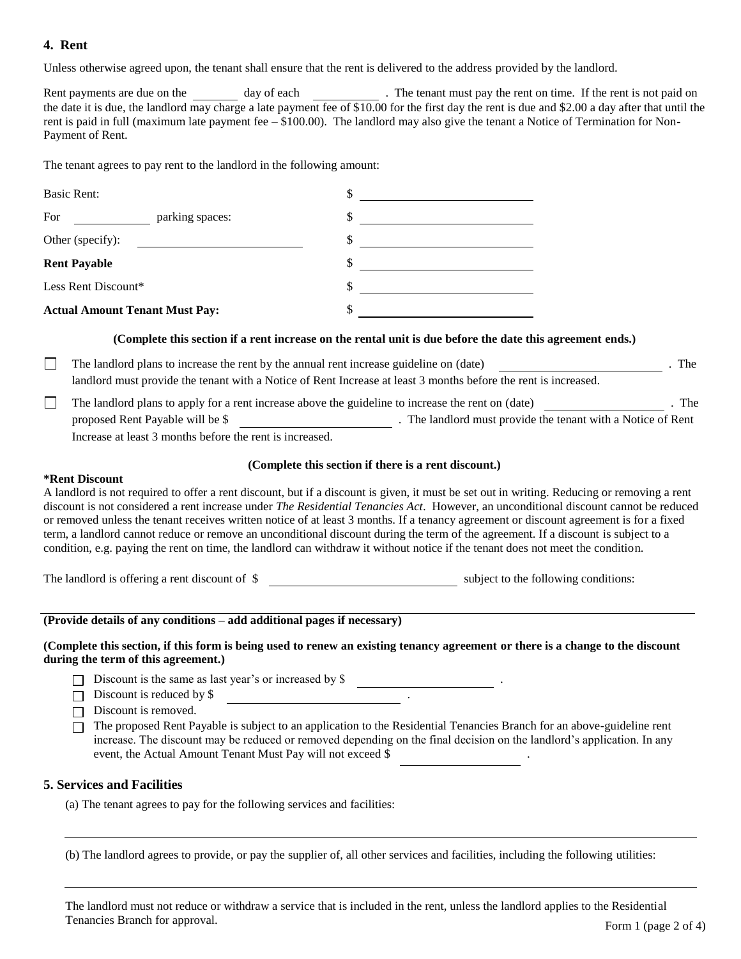## **4. Rent**

Unless otherwise agreed upon, the tenant shall ensure that the rent is delivered to the address provided by the landlord.

Rent payments are due on the day of each . The tenant must pay the rent on time. If the rent is not paid on the date it is due, the landlord may charge a late payment fee of \$10.00 for the first day the rent is due and \$2.00 a day after that until the rent is paid in full (maximum late payment fee  $-$  \$100.00). The landlord may also give the tenant a Notice of Termination for Non-Payment of Rent.

The tenant agrees to pay rent to the landlord in the following amount:

| <b>Basic Rent:</b>                                                                                                                                         |                                                                                                                                                                                                                                                                                                                                                                                                                                                                                                                                                                                                                                                                                                        |  |  |  |  |
|------------------------------------------------------------------------------------------------------------------------------------------------------------|--------------------------------------------------------------------------------------------------------------------------------------------------------------------------------------------------------------------------------------------------------------------------------------------------------------------------------------------------------------------------------------------------------------------------------------------------------------------------------------------------------------------------------------------------------------------------------------------------------------------------------------------------------------------------------------------------------|--|--|--|--|
| parking spaces:<br>For                                                                                                                                     |                                                                                                                                                                                                                                                                                                                                                                                                                                                                                                                                                                                                                                                                                                        |  |  |  |  |
| Other (specify):                                                                                                                                           | <u> 1989 - Jan Stein Stein Stein Stein Stein Stein Stein Stein Stein Stein Stein Stein Stein Stein Stein Stein S</u>                                                                                                                                                                                                                                                                                                                                                                                                                                                                                                                                                                                   |  |  |  |  |
| <b>Rent Payable</b>                                                                                                                                        | <u> 1990 - Johann Barbara, martin a</u><br>\$                                                                                                                                                                                                                                                                                                                                                                                                                                                                                                                                                                                                                                                          |  |  |  |  |
| Less Rent Discount*                                                                                                                                        | \$                                                                                                                                                                                                                                                                                                                                                                                                                                                                                                                                                                                                                                                                                                     |  |  |  |  |
| <b>Actual Amount Tenant Must Pay:</b>                                                                                                                      | \$                                                                                                                                                                                                                                                                                                                                                                                                                                                                                                                                                                                                                                                                                                     |  |  |  |  |
|                                                                                                                                                            | (Complete this section if a rent increase on the rental unit is due before the date this agreement ends.)                                                                                                                                                                                                                                                                                                                                                                                                                                                                                                                                                                                              |  |  |  |  |
| landlord must provide the tenant with a Notice of Rent Increase at least 3 months before the rent is increased.                                            |                                                                                                                                                                                                                                                                                                                                                                                                                                                                                                                                                                                                                                                                                                        |  |  |  |  |
| The landlord must provide the tenant with a Notice of Rent<br>proposed Rent Payable will be \$<br>Increase at least 3 months before the rent is increased. |                                                                                                                                                                                                                                                                                                                                                                                                                                                                                                                                                                                                                                                                                                        |  |  |  |  |
|                                                                                                                                                            | (Complete this section if there is a rent discount.)                                                                                                                                                                                                                                                                                                                                                                                                                                                                                                                                                                                                                                                   |  |  |  |  |
| <b>*Rent Discount</b>                                                                                                                                      | A landlord is not required to offer a rent discount, but if a discount is given, it must be set out in writing. Reducing or removing a rent<br>discount is not considered a rent increase under The Residential Tenancies Act. However, an unconditional discount cannot be reduced<br>or removed unless the tenant receives written notice of at least 3 months. If a tenancy agreement or discount agreement is for a fixed<br>term, a landlord cannot reduce or remove an unconditional discount during the term of the agreement. If a discount is subject to a<br>condition, e.g. paying the rent on time, the landlord can withdraw it without notice if the tenant does not meet the condition. |  |  |  |  |
|                                                                                                                                                            | The landlord is offering a rent discount of \$                                                                                                                                                                                                                                                                                                                                                                                                                                                                                                                                                                                                                                                         |  |  |  |  |
| (Provide details of any conditions - add additional pages if necessary)                                                                                    |                                                                                                                                                                                                                                                                                                                                                                                                                                                                                                                                                                                                                                                                                                        |  |  |  |  |
| during the term of this agreement.)                                                                                                                        | (Complete this section, if this form is being used to renew an existing tenancy agreement or there is a change to the discount                                                                                                                                                                                                                                                                                                                                                                                                                                                                                                                                                                         |  |  |  |  |

Discount is the same as last year's or increased by  $$$ 

 $\Box$  Discount is reduced by \$

 $\Box$  Discount is removed.

The proposed Rent Payable is subject to an application to the Residential Tenancies Branch for an above-guideline rent increase. The discount may be reduced or removed depending on the final decision on the landlord's application. In any event, the Actual Amount Tenant Must Pay will not exceed \$

## **5. Services and Facilities**

(a) The tenant agrees to pay for the following services and facilities:

(b) The landlord agrees to provide, or pay the supplier of, all other services and facilities, including the following utilities:

Form 1 (page 2 of 4) The landlord must not reduce or withdraw a service that is included in the rent, unless the landlord applies to the Residential Tenancies Branch for approval.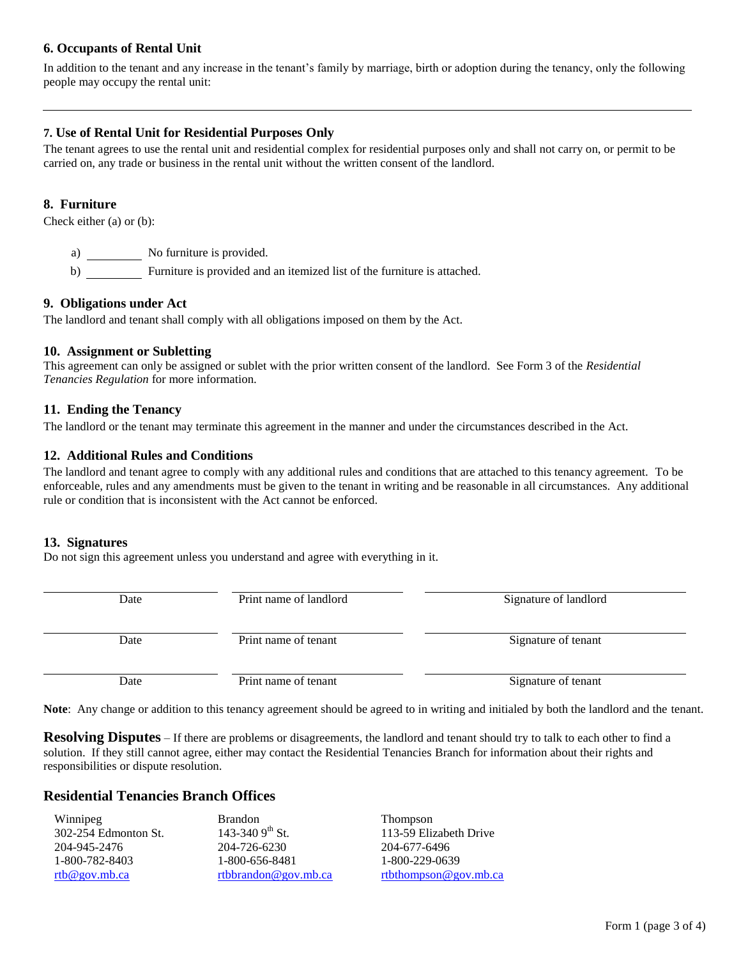## **6. Occupants of Rental Unit**

In addition to the tenant and any increase in the tenant's family by marriage, birth or adoption during the tenancy, only the following people may occupy the rental unit:

## **7. Use of Rental Unit for Residential Purposes Only**

The tenant agrees to use the rental unit and residential complex for residential purposes only and shall not carry on, or permit to be carried on, any trade or business in the rental unit without the written consent of the landlord.

#### **8. Furniture**

Check either (a) or (b):

a) No furniture is provided.

b) Furniture is provided and an itemized list of the furniture is attached.

#### **9. Obligations under Act**

The landlord and tenant shall comply with all obligations imposed on them by the Act.

#### **10. Assignment or Subletting**

This agreement can only be assigned or sublet with the prior written consent of the landlord. See Form 3 of the *Residential Tenancies Regulation* for more information.

#### **11. Ending the Tenancy**

The landlord or the tenant may terminate this agreement in the manner and under the circumstances described in the Act.

#### **12. Additional Rules and Conditions**

The landlord and tenant agree to comply with any additional rules and conditions that are attached to this tenancy agreement. To be enforceable, rules and any amendments must be given to the tenant in writing and be reasonable in all circumstances. Any additional rule or condition that is inconsistent with the Act cannot be enforced.

#### **13. Signatures**

Do not sign this agreement unless you understand and agree with everything in it.

| Date | Print name of landlord | Signature of landlord |
|------|------------------------|-----------------------|
| Date | Print name of tenant   | Signature of tenant   |
| Date | Print name of tenant   | Signature of tenant   |

**Note**: Any change or addition to this tenancy agreement should be agreed to in writing and initialed by both the landlord and the tenant.

**Resolving Disputes** – If there are problems or disagreements, the landlord and tenant should try to talk to each other to find a solution. If they still cannot agree, either may contact the Residential Tenancies Branch for information about their rights and responsibilities or dispute resolution.

#### **Residential Tenancies Branch Offices**

| Winnipeg             | <b>Brandon</b>              | <b>Thompson</b>        |
|----------------------|-----------------------------|------------------------|
| 302-254 Edmonton St. | 143-340 9 <sup>th</sup> St. | 113-59 Elizabeth Drive |
| 204-945-2476         | 204-726-6230                | 204-677-6496           |
| 1-800-782-8403       | 1-800-656-8481              | 1-800-229-0639         |
| rtb@gov.mb.ca        | rtbbrandon@gov.mb.ca        | rtbthompson@gov.mb.ca  |